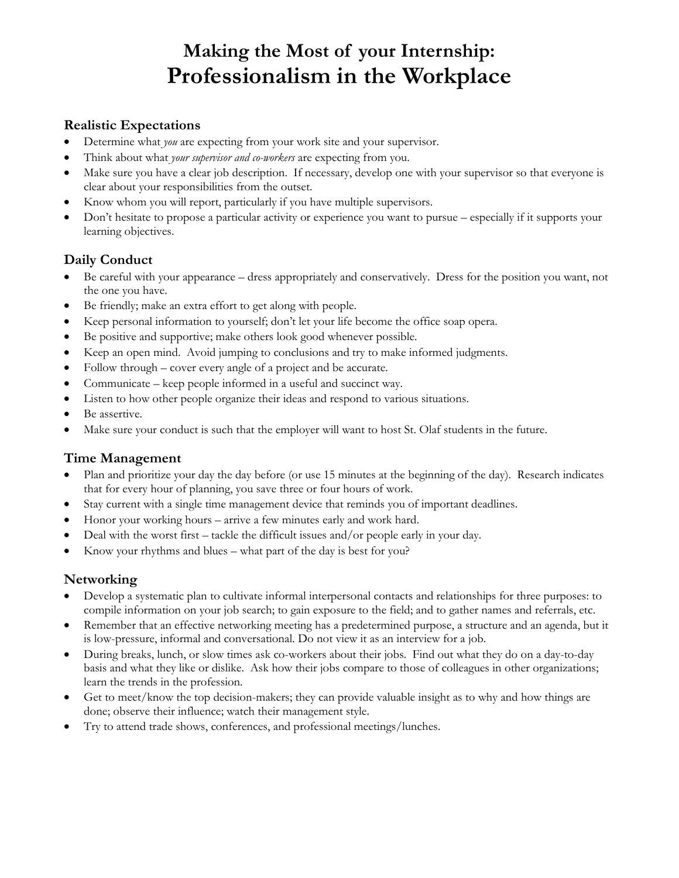# **Making the Most of your Internship: Professionalism in the Workplace**

#### **Realistic Expectations**

- Determine what *you* are expecting from your work site and your supervisor.
- Think about what *your supervisor and co-workers* are expecting from you.
- Make sure you have a clear job description. If necessary, develop one with your supervisor so that everyone is clear about your responsibilities from the outset.
- Know whom you will report, particularly if you have multiple supervisors.
- Don't hesitate to propose a particular activity or experience you want to pursue especially if it supports your learning objectives.

### **Daily Conduct**

- Be careful with your appearance dress appropriately and conservatively. Dress for the position you want, not the one you have.
- Be friendly; make an extra effort to get along with people.
- Keep personal information to yourself; don't let your life become the office soap opera.
- Be positive and supportive; make others look good whenever possible.
- Keep an open mind. Avoid jumping to conclusions and try to make informed judgments.
- Follow through cover every angle of a project and be accurate.
- Communicate keep people informed in a useful and succinct way.
- Listen to how other people organize their ideas and respond to various situations.
- Be assertive.
- Make sure your conduct is such that the employer will want to host St. Olaf students in the future.

#### **Time Management**

- Plan and prioritize your day the day before (or use 15 minutes at the beginning of the day). Research indicates that for every hour of planning, you save three or four hours of work.
- Stay current with a single time management device that reminds you of important deadlines.
- Honor your working hours arrive a few minutes early and work hard.
- Deal with the worst first tackle the difficult issues and/or people early in your day.
- Know your rhythms and blues what part of the day is best for you?

### **Networking**

- Develop a systematic plan to cultivate informal interpersonal contacts and relationships for three purposes: to compile information on your job search; to gain exposure to the field; and to gather names and referrals, etc.
- Remember that an effective networking meeting has a predetermined purpose, a structure and an agenda, but it is low-pressure, informal and conversational. Do not view it as an interview for a job.
- During breaks, lunch, or slow times ask co-workers about their jobs. Find out what they do on a day-to-day basis and what they like or dislike. Ask how their jobs compare to those of colleagues in other organizations; learn the trends in the profession.
- Get to meet/know the top decision-makers; they can provide valuable insight as to why and how things are done; observe their influence; watch their management style.
- Try to attend trade shows, conferences, and professional meetings/lunches.